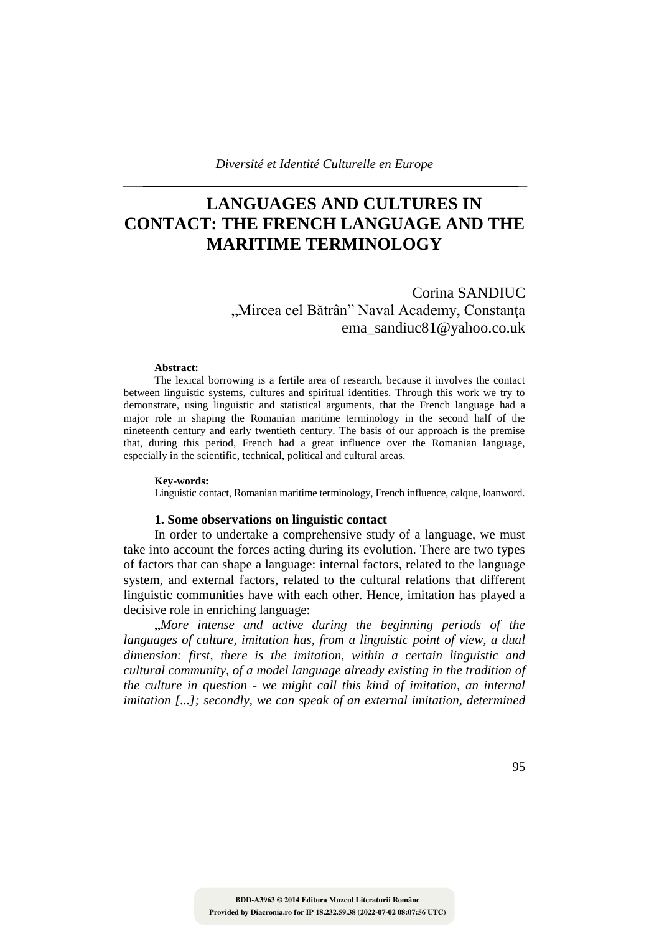# **LANGUAGES AND CULTURES IN CONTACT: THE FRENCH LANGUAGE AND THE MARITIME TERMINOLOGY**

Corina SANDIUC "Mircea cel Bătrân" Naval Academy, Constanța ema\_sandiuc81@yahoo.co.uk

#### **Abstract:**

The lexical borrowing is a fertile area of research, because it involves the contact between linguistic systems, cultures and spiritual identities. Through this work we try to demonstrate, using linguistic and statistical arguments, that the French language had a major role in shaping the Romanian maritime terminology in the second half of the nineteenth century and early twentieth century. The basis of our approach is the premise that, during this period, French had a great influence over the Romanian language, especially in the scientific, technical, political and cultural areas.

### **Key-words:**

Linguistic contact, Romanian maritime terminology, French influence, calque, loanword.

### **1. Some observations on linguistic contact**

In order to undertake a comprehensive study of a language, we must take into account the forces acting during its evolution. There are two types of factors that can shape a language: internal factors, related to the language system, and external factors, related to the cultural relations that different linguistic communities have with each other. Hence, imitation has played a decisive role in enriching language:

"*More intense and active during the beginning periods of the languages of culture, imitation has, from a linguistic point of view, a dual dimension: first, there is the imitation, within a certain linguistic and cultural community, of a model language already existing in the tradition of the culture in question - we might call this kind of imitation, an internal imitation [...]; secondly, we can speak of an external imitation, determined*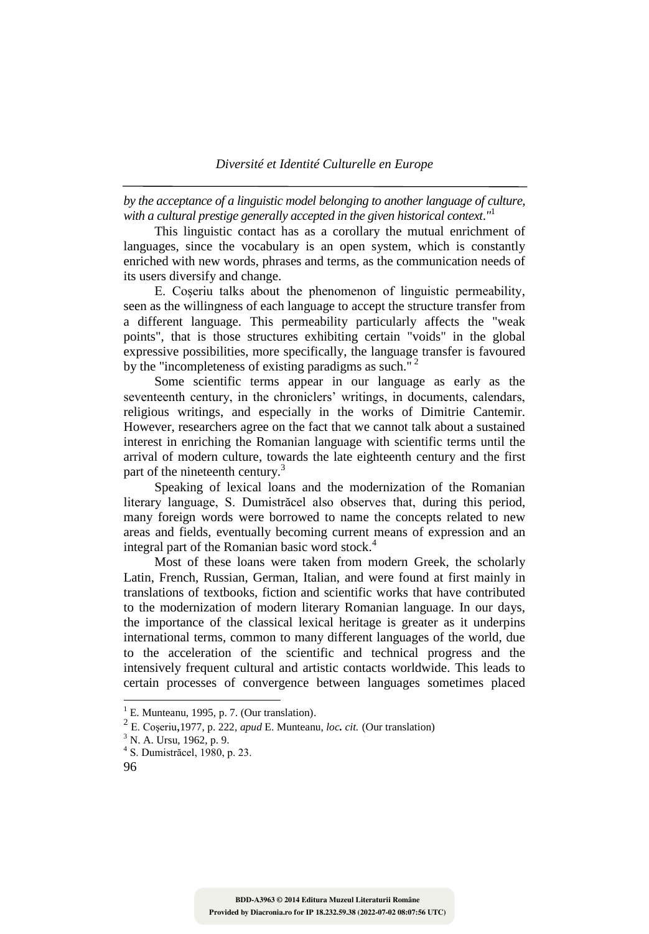*by the acceptance of a linguistic model belonging to another language of culture, with a cultural prestige generally accepted in the given historical context*.*"* 1

This linguistic contact has as a corollary the mutual enrichment of languages, since the vocabulary is an open system, which is constantly enriched with new words, phrases and terms, as the communication needs of its users diversify and change.

E. Coşeriu talks about the phenomenon of linguistic permeability, seen as the willingness of each language to accept the structure transfer from a different language. This permeability particularly affects the "weak points", that is those structures exhibiting certain "voids" in the global expressive possibilities, more specifically, the language transfer is favoured by the "incompleteness of existing paradigms as such."  $2^2$ 

Some scientific terms appear in our language as early as the seventeenth century, in the chroniclers' writings, in documents, calendars, religious writings, and especially in the works of Dimitrie Cantemir. However, researchers agree on the fact that we cannot talk about a sustained interest in enriching the Romanian language with scientific terms until the arrival of modern culture, towards the late eighteenth century and the first part of the nineteenth century.<sup>3</sup>

Speaking of lexical loans and the modernization of the Romanian literary language, S. Dumistrăcel also observes that, during this period, many foreign words were borrowed to name the concepts related to new areas and fields, eventually becoming current means of expression and an integral part of the Romanian basic word stock. 4

Most of these loans were taken from modern Greek, the scholarly Latin, French, Russian, German, Italian, and were found at first mainly in translations of textbooks, fiction and scientific works that have contributed to the modernization of modern literary Romanian language. In our days, the importance of the classical lexical heritage is greater as it underpins international terms, common to many different languages of the world, due to the acceleration of the scientific and technical progress and the intensively frequent cultural and artistic contacts worldwide. This leads to certain processes of convergence between languages sometimes placed

 $<sup>1</sup>$  E. Munteanu, 1995, p. 7. (Our translation).</sup>

<sup>2</sup> E. Coşeriu,1977, p. 222, *apud* E. Munteanu, *loc. cit.* (Our translation)

<sup>&</sup>lt;sup>3</sup> N. A. Ursu, 1962, p. 9.

<sup>4</sup> S. Dumistrăcel, 1980, p. 23.

<sup>96</sup>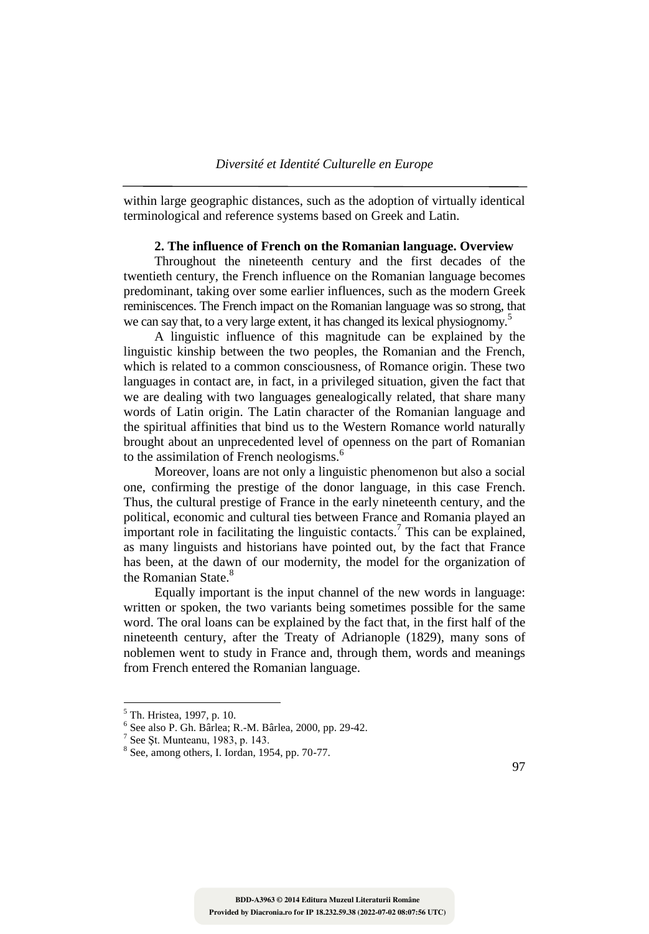within large geographic distances, such as the adoption of virtually identical terminological and reference systems based on Greek and Latin.

## **2. The influence of French on the Romanian language. Overview**

Throughout the nineteenth century and the first decades of the twentieth century, the French influence on the Romanian language becomes predominant, taking over some earlier influences, such as the modern Greek reminiscences. The French impact on the Romanian language was so strong, that we can say that, to a very large extent, it has changed its lexical physiognomy.<sup>5</sup>

A linguistic influence of this magnitude can be explained by the linguistic kinship between the two peoples, the Romanian and the French, which is related to a common consciousness, of Romance origin. These two languages in contact are, in fact, in a privileged situation, given the fact that we are dealing with two languages genealogically related, that share many words of Latin origin. The Latin character of the Romanian language and the spiritual affinities that bind us to the Western Romance world naturally brought about an unprecedented level of openness on the part of Romanian to the assimilation of French neologisms.<sup>6</sup>

Moreover, loans are not only a linguistic phenomenon but also a social one, confirming the prestige of the donor language, in this case French. Thus, the cultural prestige of France in the early nineteenth century, and the political, economic and cultural ties between France and Romania played an important role in facilitating the linguistic contacts.<sup>7</sup> This can be explained, as many linguists and historians have pointed out, by the fact that France has been, at the dawn of our modernity, the model for the organization of the Romanian State.<sup>8</sup>

Equally important is the input channel of the new words in language: written or spoken, the two variants being sometimes possible for the same word. The oral loans can be explained by the fact that, in the first half of the nineteenth century, after the Treaty of Adrianople (1829), many sons of noblemen went to study in France and, through them, words and meanings from French entered the Romanian language.

<sup>&</sup>lt;sup>5</sup> Th. Hristea, 1997, p. 10.

<sup>6</sup> See also P. Gh. Bârlea; R.-M. Bârlea, 2000, pp. 29-42.

 $<sup>7</sup>$  See Șt. Munteanu, 1983, p. 143.</sup>

<sup>8</sup> See, among others, I. Iordan, 1954, pp. 70-77.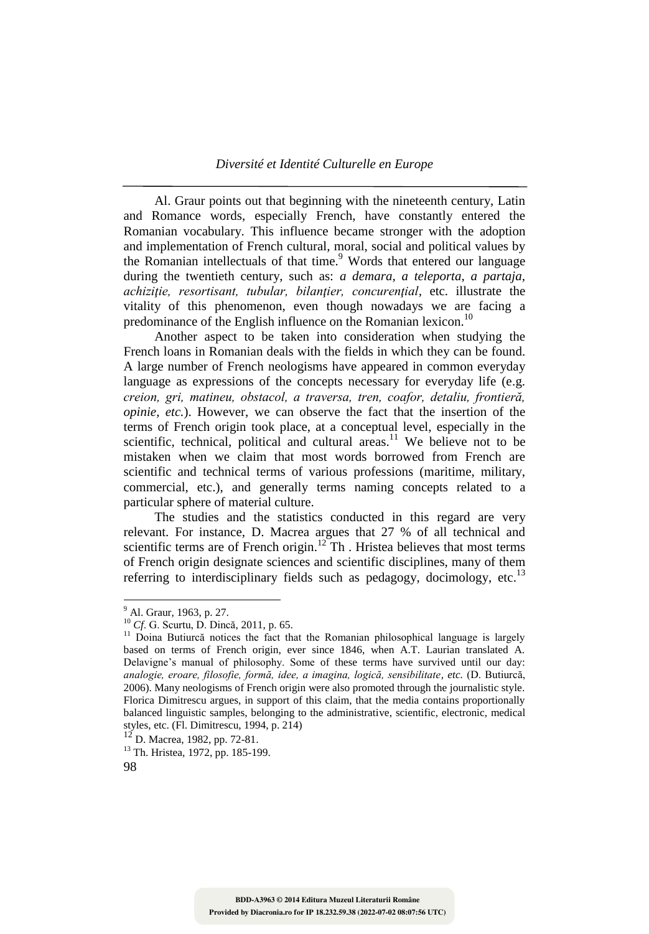Al. Graur points out that beginning with the nineteenth century, Latin and Romance words, especially French, have constantly entered the Romanian vocabulary. This influence became stronger with the adoption and implementation of French cultural, moral, social and political values by the Romanian intellectuals of that time.<sup>9</sup> Words that entered our language during the twentieth century, such as: *a demara, a teleporta, a partaja, achiziţie, resortisant, tubular, bilanţier, concurenţial,* etc. illustrate the vitality of this phenomenon, even though nowadays we are facing a predominance of the English influence on the Romanian lexicon.<sup>10</sup>

Another aspect to be taken into consideration when studying the French loans in Romanian deals with the fields in which they can be found. A large number of French neologisms have appeared in common everyday language as expressions of the concepts necessary for everyday life (e.g. *creion, gri, matineu, obstacol, a traversa, tren, coafor, detaliu, frontieră, opinie, etc.*). However, we can observe the fact that the insertion of the terms of French origin took place, at a conceptual level, especially in the scientific, technical, political and cultural areas. $11$  We believe not to be mistaken when we claim that most words borrowed from French are scientific and technical terms of various professions (maritime, military, commercial, etc.), and generally terms naming concepts related to a particular sphere of material culture.

The studies and the statistics conducted in this regard are very relevant. For instance, D. Macrea argues that 27 % of all technical and scientific terms are of French origin.<sup>12</sup> Th. Hristea believes that most terms of French origin designate sciences and scientific disciplines, many of them referring to interdisciplinary fields such as pedagogy, docimology, etc.<sup>13</sup>

<sup>&</sup>lt;sup>9</sup> Al. Graur, 1963, p. 27.

<sup>10</sup> *Cf*. G. Scurtu, D. Dincă, 2011, p. 65.

 $11$  Doina Butiurcă notices the fact that the Romanian philosophical language is largely based on terms of French origin, ever since 1846, when A.T. Laurian translated A. Delavigne's manual of philosophy. Some of these terms have survived until our day: *analogie, eroare, filosofie, formă, idee, a imagina, logică, sensibilitate, etc.* (D. Butiurcă, 2006). Many neologisms of French origin were also promoted through the journalistic style. Florica Dimitrescu argues, in support of this claim, that the media contains proportionally balanced linguistic samples, belonging to the administrative, scientific, electronic, medical styles, etc. (Fl. Dimitrescu, 1994, p. 214)

 $12^{12}$  D. Macrea, 1982, pp. 72-81.

<sup>&</sup>lt;sup>13</sup> Th. Hristea, 1972, pp. 185-199.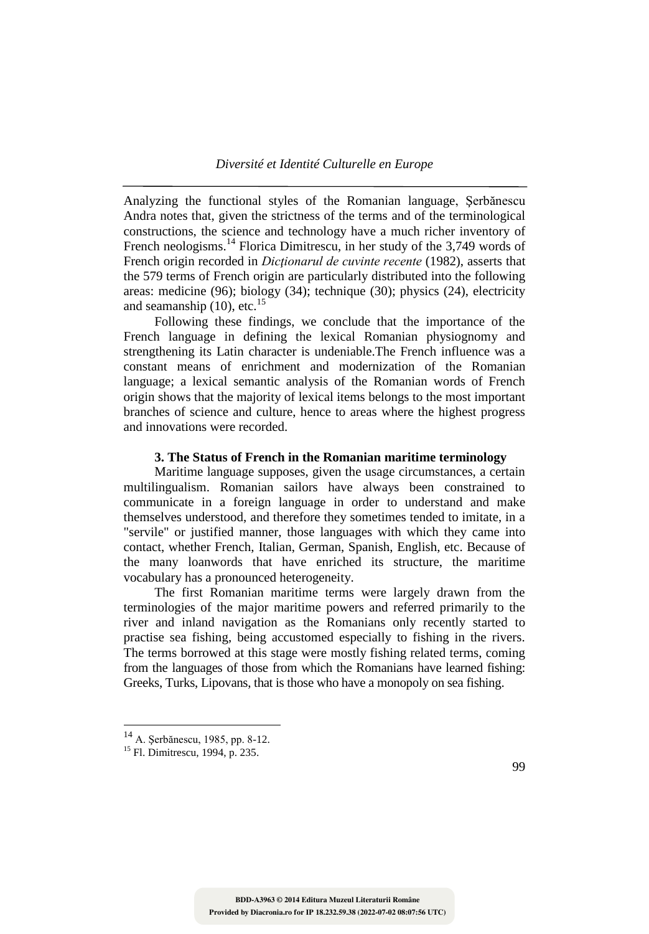Analyzing the functional styles of the Romanian language, Şerbănescu Andra notes that, given the strictness of the terms and of the terminological constructions, the science and technology have a much richer inventory of French neologisms.<sup>14</sup> Florica Dimitrescu, in her study of the 3,749 words of French origin recorded in *Dicţionarul de cuvinte recente* (1982), asserts that the 579 terms of French origin are particularly distributed into the following areas: medicine (96); biology (34); technique (30); physics (24), electricity and seamanship  $(10)$ , etc.<sup>15</sup>

Following these findings, we conclude that the importance of the French language in defining the lexical Romanian physiognomy and strengthening its Latin character is undeniable.The French influence was a constant means of enrichment and modernization of the Romanian language; a lexical semantic analysis of the Romanian words of French origin shows that the majority of lexical items belongs to the most important branches of science and culture, hence to areas where the highest progress and innovations were recorded.

## **3. The Status of French in the Romanian maritime terminology**

Maritime language supposes, given the usage circumstances, a certain multilingualism. Romanian sailors have always been constrained to communicate in a foreign language in order to understand and make themselves understood, and therefore they sometimes tended to imitate, in a "servile" or justified manner, those languages with which they came into contact, whether French, Italian, German, Spanish, English, etc. Because of the many loanwords that have enriched its structure, the maritime vocabulary has a pronounced heterogeneity.

The first Romanian maritime terms were largely drawn from the terminologies of the major maritime powers and referred primarily to the river and inland navigation as the Romanians only recently started to practise sea fishing, being accustomed especially to fishing in the rivers. The terms borrowed at this stage were mostly fishing related terms, coming from the languages of those from which the Romanians have learned fishing: Greeks, Turks, Lipovans, that is those who have a monopoly on sea fishing.

<sup>14</sup> A. Şerbănescu, 1985, pp. 8-12.

<sup>&</sup>lt;sup>15</sup> Fl. Dimitrescu, 1994, p. 235.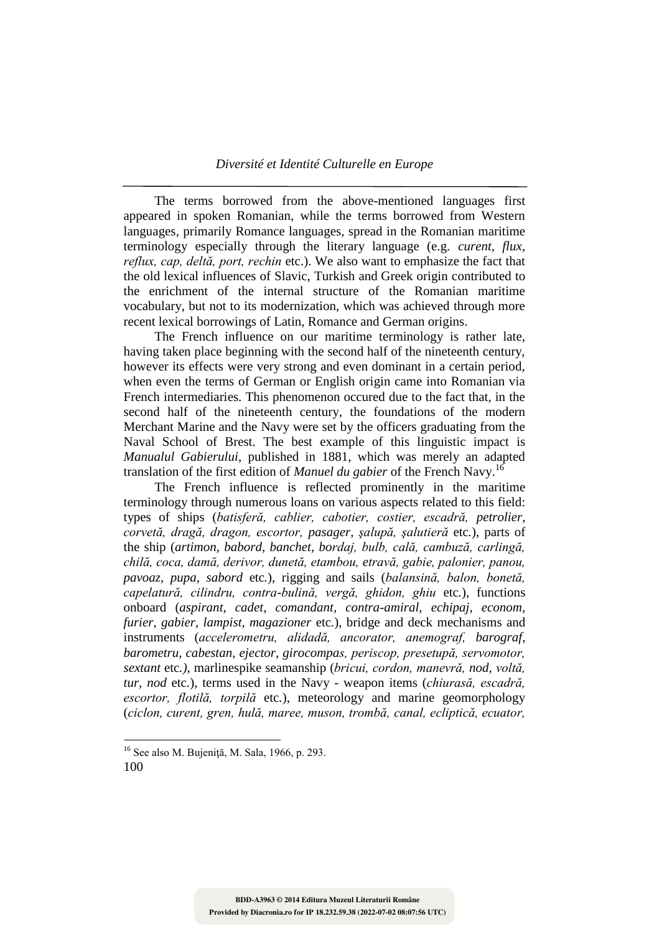The terms borrowed from the above-mentioned languages first appeared in spoken Romanian, while the terms borrowed from Western languages, primarily Romance languages, spread in the Romanian maritime terminology especially through the literary language (e.g. *curent, flux, reflux, cap, deltă, port, rechin* etc.). We also want to emphasize the fact that the old lexical influences of Slavic, Turkish and Greek origin contributed to the enrichment of the internal structure of the Romanian maritime vocabulary, but not to its modernization, which was achieved through more recent lexical borrowings of Latin, Romance and German origins.

The French influence on our maritime terminology is rather late, having taken place beginning with the second half of the nineteenth century, however its effects were very strong and even dominant in a certain period, when even the terms of German or English origin came into Romanian via French intermediaries. This phenomenon occured due to the fact that, in the second half of the nineteenth century, the foundations of the modern Merchant Marine and the Navy were set by the officers graduating from the Naval School of Brest. The best example of this linguistic impact is *Manualul Gabierului*, published in 1881, which was merely an adapted translation of the first edition of *Manuel du gabier* of the French Navy.<sup>16</sup>

The French influence is reflected prominently in the maritime terminology through numerous loans on various aspects related to this field: types of ships (*batisferă, cablier, cabotier, costier, escadră, petrolier, corvetă, dragă, dragon, escortor, pasager, şalupă, şalutieră* etc*.*), parts of the ship (*artimon, babord, banchet, bordaj, bulb, cală, cambuză, carlingă, chilă, coca, damă, derivor, dunetă, etambou, etravă, gabie, palonier, panou, pavoaz, pupa, sabord* etc*.*), rigging and sails (*balansină, balon, bonetă, capelatură, cilindru, contra-bulină, vergă, ghidon, ghiu* etc*.*), functions onboard (*aspirant, cadet, comandant, contra-amiral, echipaj, econom, furier, gabier, lampist, magazioner* etc*.*), bridge and deck mechanisms and instruments (*accelerometru, alidadă, ancorator, anemograf, barograf, barometru, cabestan, ejector, girocompas, periscop, presetupă, servomotor, sextant* etc*.)*, marlinespike seamanship (*bricui, cordon, manevră, nod, voltă, tur, nod* etc*.*), terms used in the Navy - weapon items (*chiurasă, escadră, escortor, flotilă, torpilă* etc*.*), meteorology and marine geomorphology (*ciclon, curent, gren, hulă, maree, muson, trombă, canal, ecliptică, ecuator,* 

<sup>100</sup>  $16$  See also M. Bujenită, M. Sala, 1966, p. 293.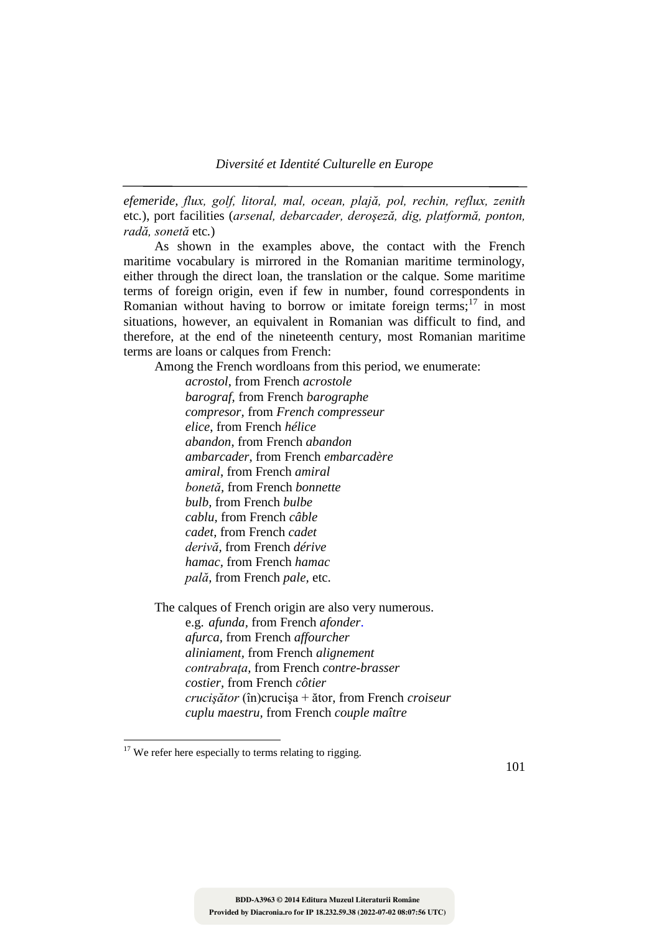*Diversité et Identité Culturelle en Europe*

*efemeride, flux, golf, litoral, mal, ocean, plajă, pol, rechin, reflux, zenith* etc*.*), port facilities (*arsenal, debarcader, deroşeză, dig, platformă, ponton, radă, sonetă* etc*.*)

As shown in the examples above, the contact with the French maritime vocabulary is mirrored in the Romanian maritime terminology, either through the direct loan, the translation or the calque. Some maritime terms of foreign origin, even if few in number, found correspondents in Romanian without having to borrow or imitate foreign terms; $17$  in most situations, however, an equivalent in Romanian was difficult to find, and therefore, at the end of the nineteenth century, most Romanian maritime terms are loans or calques from French:

Among the French wordloans from this period, we enumerate:

*acrostol*, from French *acrostole barograf,* from French *barographe compresor,* from *French compresseur elice*, from French *hélice abandon*, from French *abandon ambarcader*, from French *embarcadère amiral*, from French *amiral bonetă,* from French *bonnette bulb,* from French *bulbe cablu,* from French *câble cadet,* from French *cadet derivă,* from French *dérive hamac,* from French *hamac pală,* from French *pale,* etc.

The calques of French origin are also very numerous. e.g. *afunda,* from French *afonder*. *afurca,* from French *affourcher aliniament,* from French *alignement contrabraţa,* from French *contre-brasser costier,* from French *côtier crucişător* (în)crucişa + ător, from French *croiseur cuplu maestru,* from French *couple maître*

 $17$  We refer here especially to terms relating to rigging.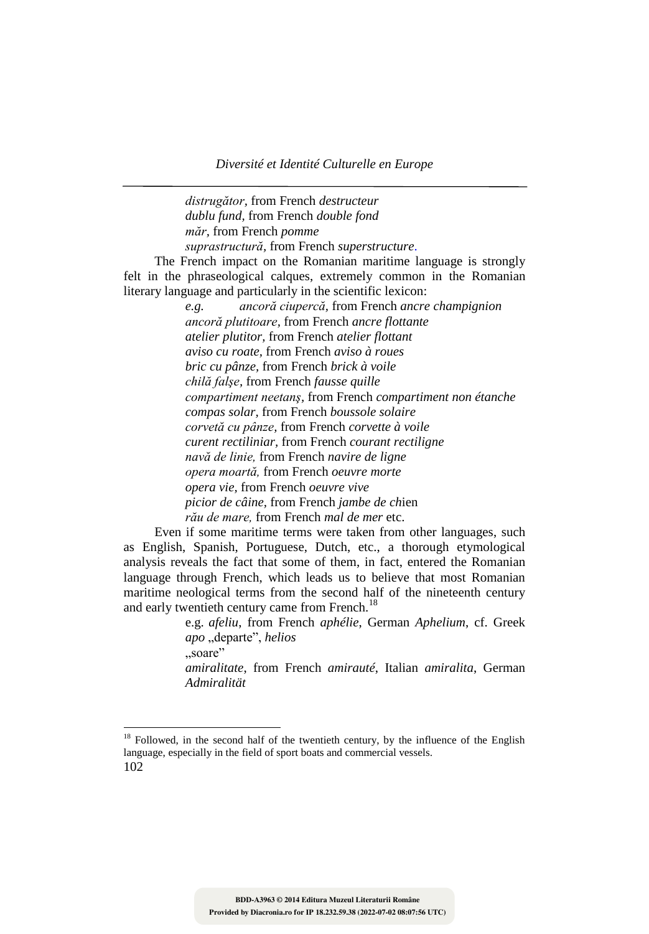*Diversité et Identité Culturelle en Europe*

*distrugător,* from French *destructeur dublu fund,* from French *double fond măr,* from French *pomme suprastructură,* from French *superstructure*.

The French impact on the Romanian maritime language is strongly felt in the phraseological calques, extremely common in the Romanian literary language and particularly in the scientific lexicon:

> *e.g. ancoră ciupercă,* from French *ancre champignion ancoră plutitoare,* from French *ancre flottante atelier plutitor,* from French *atelier flottant aviso cu roate,* from French *aviso à roues bric cu pânze,* from French *brick à voile chilă falşe,* from French *fausse quille compartiment neetanş,* from French *compartiment non étanche compas solar,* from French *boussole solaire corvetă cu pânze,* from French *corvette à voile curent rectiliniar,* from French *courant rectiligne navă de linie,* from French *navire de ligne opera moartă,* from French *oeuvre morte opera vie,* from French *oeuvre vive picior de câine,* from French *jambe de ch*ien *rău de mare,* from French *mal de mer* etc.

Even if some maritime terms were taken from other languages, such as English, Spanish, Portuguese, Dutch, etc., a thorough etymological analysis reveals the fact that some of them, in fact, entered the Romanian language through French, which leads us to believe that most Romanian maritime neological terms from the second half of the nineteenth century and early twentieth century came from French.<sup>18</sup>

> e.g. *afeliu*, from French *aphélie*, German *Aphelium*, cf. Greek *apo* "departe", *helios* .soare" *amiralitate*, from French *amirauté*, Italian *amiralita*, German *Admiralität*

<sup>102</sup>  $18$  Followed, in the second half of the twentieth century, by the influence of the English language, especially in the field of sport boats and commercial vessels.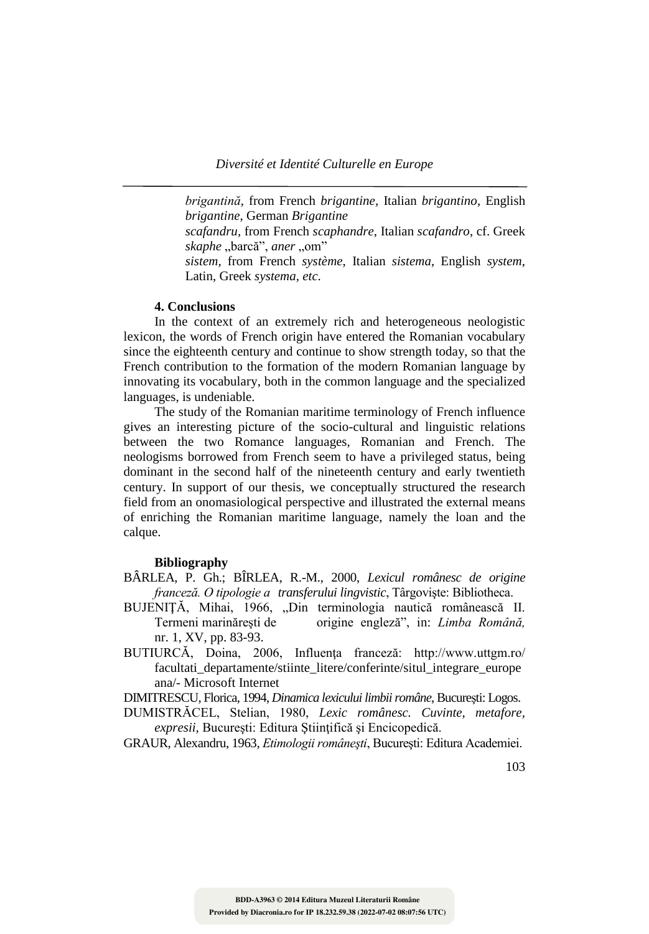*brigantină,* from French *brigantine,* Italian *brigantino*, English *brigantine*, German *Brigantine* 

*scafandru,* from French *scaphandre*, Italian *scafandro*, cf. Greek skaphe "barcă", aner "om"

*sistem,* from French *système*, Italian *sistema*, English *system*, Latin, Greek *systema, etc.*

## **4. Conclusions**

In the context of an extremely rich and heterogeneous neologistic lexicon, the words of French origin have entered the Romanian vocabulary since the eighteenth century and continue to show strength today, so that the French contribution to the formation of the modern Romanian language by innovating its vocabulary, both in the common language and the specialized languages, is undeniable.

The study of the Romanian maritime terminology of French influence gives an interesting picture of the socio-cultural and linguistic relations between the two Romance languages, Romanian and French. The neologisms borrowed from French seem to have a privileged status, being dominant in the second half of the nineteenth century and early twentieth century. In support of our thesis, we conceptually structured the research field from an onomasiological perspective and illustrated the external means of enriching the Romanian maritime language, namely the loan and the calque.

### **Bibliography**

- BÂRLEA, P. Gh.; BÎRLEA, R.-M., 2000, *Lexicul românesc de origine franceză. O tipologie a transferului lingvistic*, Târgovişte: Bibliotheca.
- BUJENIȚĂ, Mihai, 1966, "Din terminologia nautică românească II. Termeni marinăreşti de origine engleză", in: *Limba Română,*  nr. 1, XV, pp. 83-93.
- BUTIURCĂ, Doina, 2006, Influența franceză: http://www.uttgm.ro/ facultati\_departamente/stiinte\_litere/conferinte/situl\_integrare\_europe ana/- Microsoft Internet

DIMITRESCU, Florica, 1994, *Dinamica lexicului limbii române*, Bucureşti: Logos.

- DUMISTRĂCEL, Stelian, 1980, *Lexic românesc. Cuvinte, metafore,*  expresii, București: Editura Științifică și Encicopedică.
- GRAUR, Alexandru, 1963, *Etimologii româneşti*, Bucureşti: Editura Academiei.